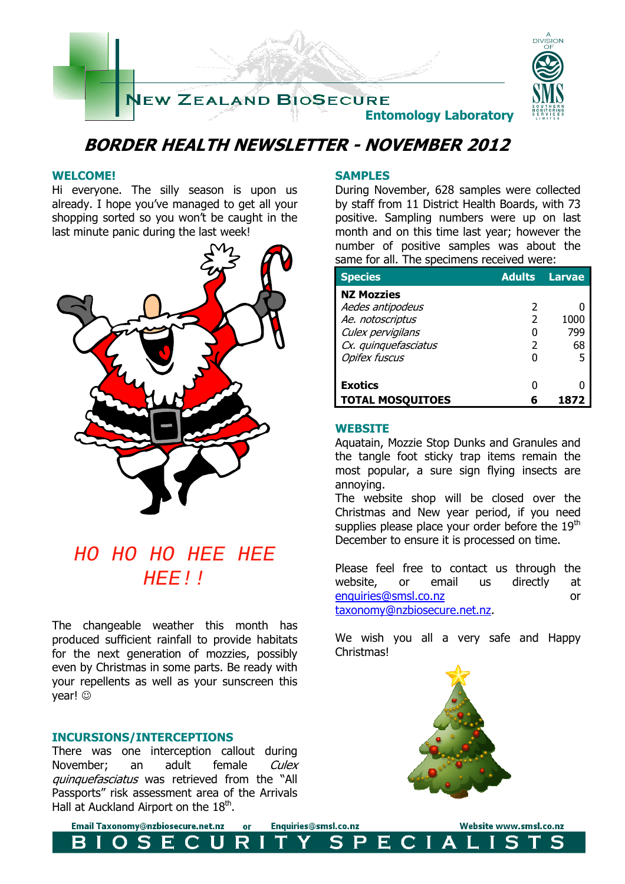

## **BORDER HEALTH NEWSLETTER - NOVEMBER 2012**

### **WELCOME!**

Hi everyone. The silly season is upon us already. I hope you've managed to get all your shopping sorted so you won't be caught in the last minute panic during the last week!



# HO HO HO HEE HEE HEE!!

The changeable weather this month has produced sufficient rainfall to provide habitats for the next generation of mozzies, possibly even by Christmas in some parts. Be ready with your repellents as well as your sunscreen this vear!  $\odot$ 

### **INCURSIONS/INTERCEPTIONS**

S

There was one interception callout during November; an adult female Culex quinquefasciatus was retrieved from the "All Passports" risk assessment area of the Arrivals Hall at Auckland Airport on the  $18<sup>th</sup>$ .

E

### **SAMPLES**

During November, 628 samples were collected by staff from 11 District Health Boards, with 73 positive. Sampling numbers were up on last month and on this time last year; however the number of positive samples was about the same for all. The specimens received were:

| <b>Species</b>          | <b>Adults</b> | <b>Larvae</b> |
|-------------------------|---------------|---------------|
| <b>NZ Mozzies</b>       |               |               |
| Aedes antipodeus        | 2             |               |
| Ae. notoscriptus        | 2             | 1000          |
| Culex pervigilans       |               | 799           |
| Cx. quinquefasciatus    | 2             | 68            |
| <b>Opifex fuscus</b>    |               | 5             |
|                         |               |               |
| <b>Exotics</b>          |               |               |
| <b>TOTAL MOSQUITOES</b> |               |               |

### **WEBSITE**

Aquatain, Mozzie Stop Dunks and Granules and the tangle foot sticky trap items remain the most popular, a sure sign flying insects are annoying.

The website shop will be closed over the Christmas and New year period, if you need supplies please place your order before the  $19<sup>th</sup>$ December to ensure it is processed on time.

Please feel free to contact us through the website, or email us directly at enquiries@smsl.co.nz or taxonomy@nzbiosecure.net.nz.

We wish you all a very safe and Happy **Christmas!** 



Email Taxonomy@nzbiosecure.net.nz Enquiries@smsl.co.nz  $or$ U

R

S

P

Е

Website www.smsl.co.nz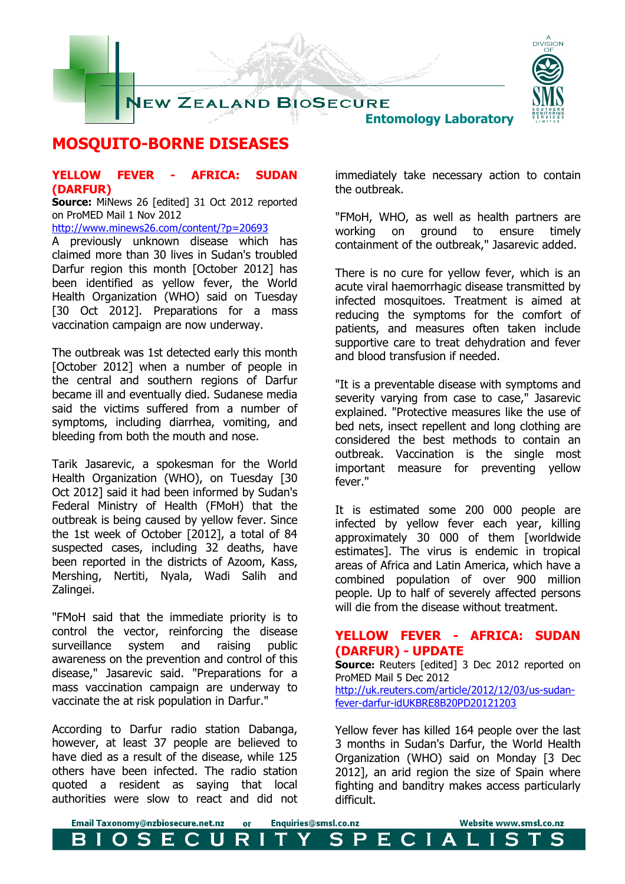

## **MOSQUITO-BORNE DISEASES**

### **YELLOW FEVER - AFRICA: SUDAN (DARFUR)**

**Source:** MiNews 26 [edited] 31 Oct 2012 reported on ProMED Mail 1 Nov 2012

http://www.minews26.com/content/?p=20693

A previously unknown disease which has claimed more than 30 lives in Sudan's troubled Darfur region this month [October 2012] has been identified as yellow fever, the World Health Organization (WHO) said on Tuesday [30 Oct 2012]. Preparations for a mass vaccination campaign are now underway.

The outbreak was 1st detected early this month [October 2012] when a number of people in the central and southern regions of Darfur became ill and eventually died. Sudanese media said the victims suffered from a number of symptoms, including diarrhea, vomiting, and bleeding from both the mouth and nose.

Tarik Jasarevic, a spokesman for the World Health Organization (WHO), on Tuesday [30 Oct 2012] said it had been informed by Sudan's Federal Ministry of Health (FMoH) that the outbreak is being caused by yellow fever. Since the 1st week of October [2012], a total of 84 suspected cases, including 32 deaths, have been reported in the districts of Azoom, Kass, Mershing, Nertiti, Nyala, Wadi Salih and Zalingei.

"FMoH said that the immediate priority is to control the vector, reinforcing the disease surveillance system and raising public awareness on the prevention and control of this disease," Jasarevic said. "Preparations for a mass vaccination campaign are underway to vaccinate the at risk population in Darfur."

According to Darfur radio station Dabanga, however, at least 37 people are believed to have died as a result of the disease, while 125 others have been infected. The radio station quoted a resident as saying that local authorities were slow to react and did not immediately take necessary action to contain the outbreak.

"FMoH, WHO, as well as health partners are working on ground to ensure timely containment of the outbreak," Jasarevic added.

There is no cure for yellow fever, which is an acute viral haemorrhagic disease transmitted by infected mosquitoes. Treatment is aimed at reducing the symptoms for the comfort of patients, and measures often taken include supportive care to treat dehydration and fever and blood transfusion if needed.

"It is a preventable disease with symptoms and severity varying from case to case," Jasarevic explained. "Protective measures like the use of bed nets, insect repellent and long clothing are considered the best methods to contain an outbreak. Vaccination is the single most important measure for preventing yellow fever."

It is estimated some 200 000 people are infected by yellow fever each year, killing approximately 30 000 of them [worldwide estimates]. The virus is endemic in tropical areas of Africa and Latin America, which have a combined population of over 900 million people. Up to half of severely affected persons will die from the disease without treatment.

## **YELLOW FEVER - AFRICA: SUDAN (DARFUR) - UPDATE**

**Source:** Reuters [edited] 3 Dec 2012 reported on ProMED Mail 5 Dec 2012 http://uk.reuters.com/article/2012/12/03/us-sudanfever-darfur-idUKBRE8B20PD20121203

Yellow fever has killed 164 people over the last 3 months in Sudan's Darfur, the World Health Organization (WHO) said on Monday [3 Dec 2012], an arid region the size of Spain where fighting and banditry makes access particularly difficult.

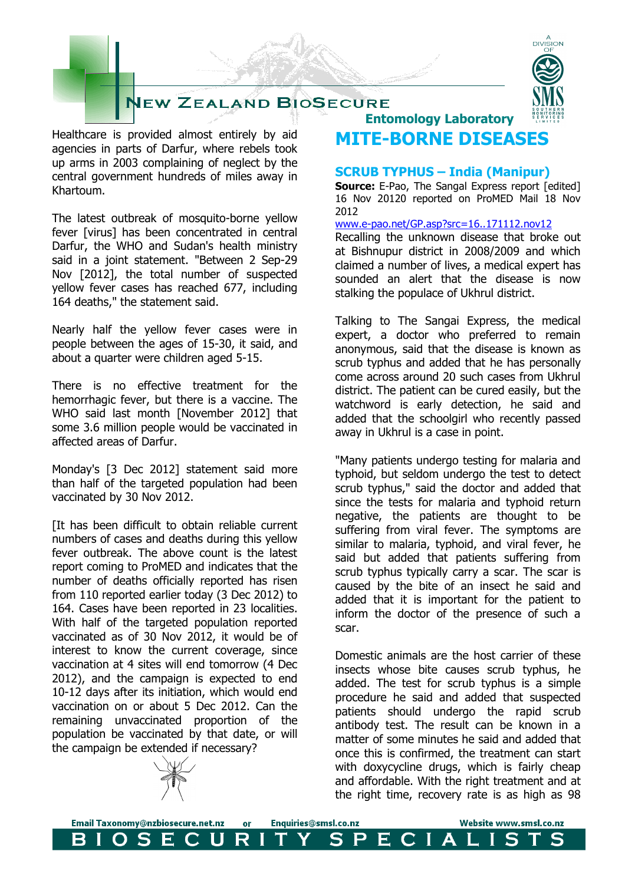

Healthcare is provided almost entirely by aid agencies in parts of Darfur, where rebels took up arms in 2003 complaining of neglect by the central government hundreds of miles away in Khartoum.

The latest outbreak of mosquito-borne yellow fever [virus] has been concentrated in central Darfur, the WHO and Sudan's health ministry said in a joint statement. "Between 2 Sep-29 Nov [2012], the total number of suspected yellow fever cases has reached 677, including 164 deaths," the statement said.

Nearly half the yellow fever cases were in people between the ages of 15-30, it said, and about a quarter were children aged 5-15.

There is no effective treatment for the hemorrhagic fever, but there is a vaccine. The WHO said last month [November 2012] that some 3.6 million people would be vaccinated in affected areas of Darfur.

Monday's [3 Dec 2012] statement said more than half of the targeted population had been vaccinated by 30 Nov 2012.

[It has been difficult to obtain reliable current numbers of cases and deaths during this yellow fever outbreak. The above count is the latest report coming to ProMED and indicates that the number of deaths officially reported has risen from 110 reported earlier today (3 Dec 2012) to 164. Cases have been reported in 23 localities. With half of the targeted population reported vaccinated as of 30 Nov 2012, it would be of interest to know the current coverage, since vaccination at 4 sites will end tomorrow (4 Dec 2012), and the campaign is expected to end 10-12 days after its initiation, which would end vaccination on or about 5 Dec 2012. Can the remaining unvaccinated proportion of the population be vaccinated by that date, or will the campaign be extended if necessary?

 **Entomology Laboratory MITE-BORNE DISEASES** 

### **SCRUB TYPHUS – India (Manipur)**

**Source:** E-Pao, The Sangal Express report [edited] 16 Nov 20120 reported on ProMED Mail 18 Nov 2012

www.e-pao.net/GP.asp?src=16..171112.nov12

Recalling the unknown disease that broke out at Bishnupur district in 2008/2009 and which claimed a number of lives, a medical expert has sounded an alert that the disease is now stalking the populace of Ukhrul district.

Talking to The Sangai Express, the medical expert, a doctor who preferred to remain anonymous, said that the disease is known as scrub typhus and added that he has personally come across around 20 such cases from Ukhrul district. The patient can be cured easily, but the watchword is early detection, he said and added that the schoolgirl who recently passed away in Ukhrul is a case in point.

"Many patients undergo testing for malaria and typhoid, but seldom undergo the test to detect scrub typhus," said the doctor and added that since the tests for malaria and typhoid return negative, the patients are thought to be suffering from viral fever. The symptoms are similar to malaria, typhoid, and viral fever, he said but added that patients suffering from scrub typhus typically carry a scar. The scar is caused by the bite of an insect he said and added that it is important for the patient to inform the doctor of the presence of such a scar.

Domestic animals are the host carrier of these insects whose bite causes scrub typhus, he added. The test for scrub typhus is a simple procedure he said and added that suspected patients should undergo the rapid scrub antibody test. The result can be known in a matter of some minutes he said and added that once this is confirmed, the treatment can start with doxycycline drugs, which is fairly cheap and affordable. With the right treatment and at the right time, recovery rate is as high as 98

Website www.smsl.co.nz

LIS



OSECU

Email Taxonomy@nzbiosecure.net.nz

Enquiries@smsl.co.nz

SPECIA

or

R